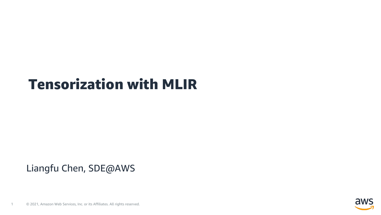#### Tensorization with MLIR

#### Liangfu Chen, SDE@AWS

1 © 2021, Amazon Web Services, Inc. or its Affiliates. All rights reserved.

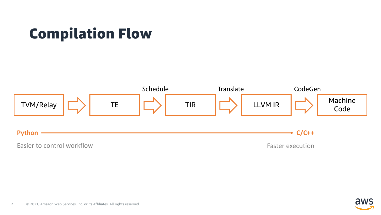# Compilation Flow



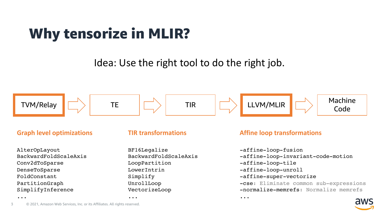# Why tensorize in MLIR?

Idea: Use the right tool to do the right job.



AlterOpLayout BackwardFoldScaleAxis Conv2dToSparse DenseToSparse FoldConstant PartitionGraph SimplifyInference

...

#### **TIR transformations**

BF16Legalize BackwardFoldScaleAxis LoopPartition LowerIntrin Simplify UnrollLoop VectorizeLoop

...

#### **Graph level optimizations TIR transformations and a set of a Affine loop transformations**

...

-affine-loop-fusion -affine-loop-invariant-code-motion -affine-loop-tile -affine-loop-unroll -affine-super-vectorize -cse: Eliminate common sub-expressions -normalize-memrefs: Normalize memrefs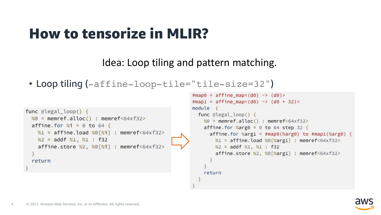# How to tensorize in MLIR?

Idea: Loop tiling and pattern matching.

```
• Loop tiling (-affine-loop-tile="tile-size=32")
```

```
func @legal_loop() {
 %0 = memref.alloc() : memref<64xf32>
 affine.for %i = 0 to 64 {
   %1 = affine.load %0[%i] : memref<64xf32>
   %2 = addf %1, %1 : f32affine.store %2, %0[%i] : memref<64xf32>
 return
```

```
#map0 = affine map (d0) -> (d0)#map1 = affine_map<(d0) -> (d0 + 32)>
module \{func @legal_loop() {
   %0 = memref.alloc() : memref<64xf32>
    affine.for %arg0 = 0 to 64 step 32 {
      affine. for %arg1 = #map0(%arg0) to #map1(%arg0) { }%1 = affine.load %0 [%arg1] : memref<64xf32>
       %2 = addf %1, %1 : f32affine.store %2, %0[%arg1] : memref<64xf32>
    return
```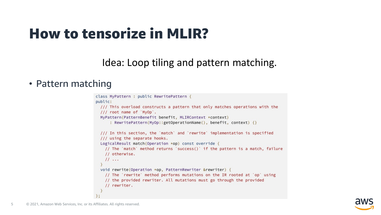## How to tensorize in MLIR?

#### Idea: Loop tiling and pattern matching.

#### • Pattern matching

```
class MyPattern : public RewritePattern {
public:
  /// This overload constructs a pattern that only matches operations with the
 /// root name of `MyOp`.
 MyPattern(PatternBenefit benefit, MLIRContext *context)
      : RewritePattern(MyOp::getOperationName(), benefit, context) {}
  /// In this section, the 'match' and 'rewrite' implementation is specified
  /// using the separate hooks.
  LogicalResult match(Operation *op) const override {
   // The `match` method returns `success()` if the pattern is a match, failure
   // otherwise.
    11...void rewrite(Operation *op, PatternRewriter &rewriter) {
   // The 'rewrite' method performs mutations on the IR rooted at 'op' using
   // the provided rewriter. All mutations must go through the provided
    // rewriter.
```